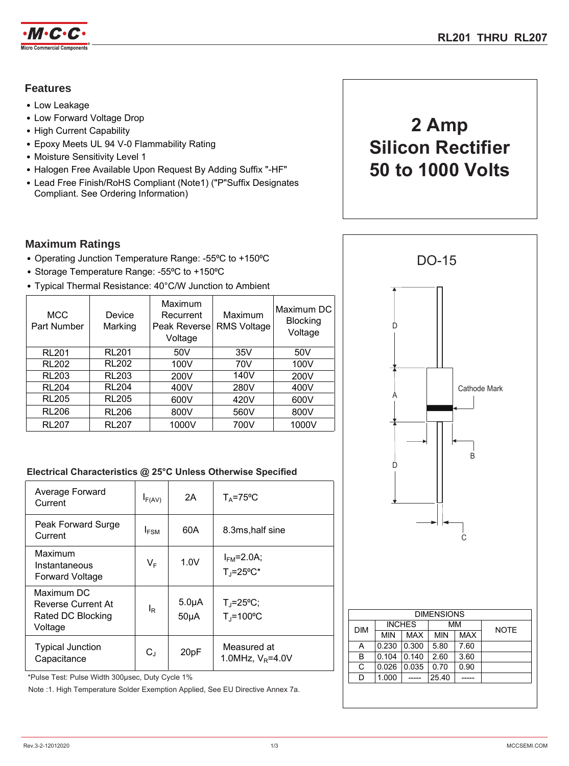

## **Features**

- Low Leakage
- Low Forward Voltage Drop
- High Current Capability
- Epoxy Meets UL 94 V-0 Flammability Rating
- Moisture Sensitivity Level 1
- Halogen Free Available Upon Request By Adding Suffix "-HF"
- Lead Free Finish/RoHS Compliant (Note1) ("P"Suffix Designates Compliant. See Ordering Information)

## **Maximum Ratings**

- Operating Junction Temperature Range: -55°C to +150°C
- Storage Temperature Range: -55°C to +150°C
- Typical Thermal Resistance: 40°C/W Junction to Ambient

| <b>MCC</b><br>Part Number | Device<br>Marking | Maximum<br>Recurrent<br>Peak Reverse<br>Voltage | Maximum<br><b>RMS Voltage</b> | Maximum DC<br><b>Blocking</b><br>Voltage |
|---------------------------|-------------------|-------------------------------------------------|-------------------------------|------------------------------------------|
| <b>RL201</b>              | <b>RL201</b>      | 50V                                             | 35V                           | 50V                                      |
| <b>RL202</b>              | <b>RL202</b>      | 100V                                            | 70V                           | 100V                                     |
| <b>RL203</b>              | <b>RL203</b>      | 200V                                            | 140V                          | 200V                                     |
| <b>RL204</b>              | <b>RL204</b>      | 400V                                            | 280V                          | 400V                                     |
| <b>RL205</b>              | <b>RL205</b>      | 600V                                            | 420V                          | 600V                                     |
| <b>RL206</b>              | <b>RL206</b>      | 800V                                            | 560V                          | 800V                                     |
| <b>RL207</b>              | <b>RL207</b>      | 1000V                                           | 700V                          | 1000V                                    |

## **Electrical Characteristics @ 25°C Unless Otherwise Specified**

| Average Forward<br>Current                                       | $I_{F(AV)}$      | 2A                              | $T_A = 75$ °C                                       |
|------------------------------------------------------------------|------------------|---------------------------------|-----------------------------------------------------|
| Peak Forward Surge<br>Current                                    | $I_{FSM}$        | 60A                             | 8.3ms, half sine                                    |
| Maximum<br>Instantaneous<br><b>Forward Voltage</b>               | $V_F$            | 1.0V                            | $I_{FM} = 2.0A;$<br>$T_J = 25^{\circ}C^*$           |
| Maximum DC<br>Reverse Current At<br>Rated DC Blocking<br>Voltage | $I_{\mathsf{R}}$ | 5.0 <sub>µ</sub> A<br>$50\mu A$ | $T_{\rm J} = 25^{\circ}C$ ;<br>$T_i = 100^{\circ}C$ |
| <b>Typical Junction</b><br>Capacitance                           | $C_{J}$          | 20pF                            | Measured at<br>1.0MHz, $V_R = 4.0V$                 |

\*Pulse Test: Pulse Width 300μsec, Duty Cycle 1%

Note :1. High Temperature Solder Exemption Applied, See EU Directive Annex 7a.

# **2 Amp Silicon Rectifier 50 to 1000 Volts**

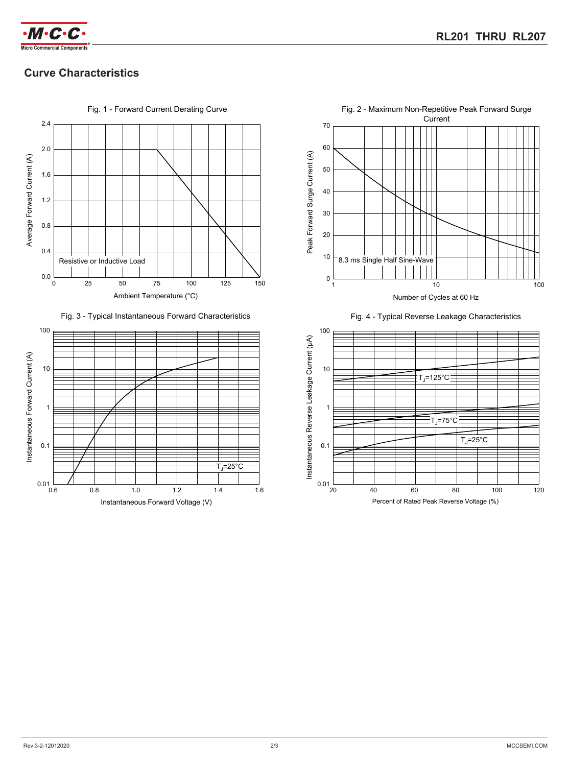

# **Curve Characteristics**